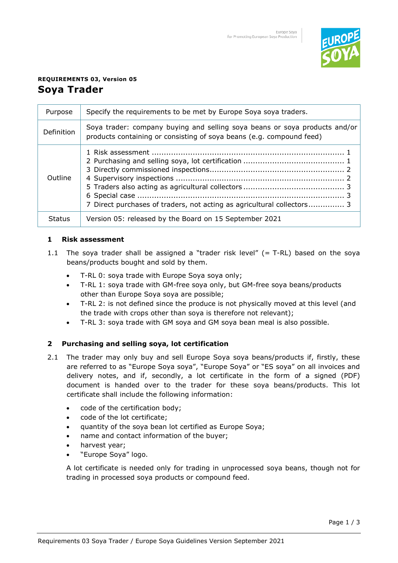

# **REQUIREMENTS 03, Version 05 Soya Trader**

| Purpose       | Specify the requirements to be met by Europe Soya soya traders.                                                                                    |
|---------------|----------------------------------------------------------------------------------------------------------------------------------------------------|
| Definition    | Soya trader: company buying and selling soya beans or soya products and/or<br>products containing or consisting of soya beans (e.g. compound feed) |
| Outline       | 7 Direct purchases of traders, not acting as agricultural collectors 3                                                                             |
| <b>Status</b> | Version 05: released by the Board on 15 September 2021                                                                                             |

# **1 Risk assessment**

- 1.1 The soya trader shall be assigned a "trader risk level"  $(= T-RL)$  based on the soya beans/products bought and sold by them.
	- T-RL 0: soya trade with Europe Soya soya only;
	- T-RL 1: soya trade with GM-free soya only, but GM-free soya beans/products other than Europe Soya soya are possible;
	- T-RL 2: is not defined since the produce is not physically moved at this level (and the trade with crops other than soya is therefore not relevant);
	- T-RL 3: soya trade with GM soya and GM soya bean meal is also possible.

# **2 Purchasing and selling soya, lot certification**

- 2.1 The trader may only buy and sell Europe Soya soya beans/products if, firstly, these are referred to as "Europe Soya soya", "Europe Soya" or "ES soya" on all invoices and delivery notes, and if, secondly, a lot certificate in the form of a signed (PDF) document is handed over to the trader for these soya beans/products. This lot certificate shall include the following information:
	- code of the certification body;
	- code of the lot certificate;
	- quantity of the soya bean lot certified as Europe Soya;
	- name and contact information of the buyer;
	- harvest year;
	- "Europe Soya" logo.

A lot certificate is needed only for trading in unprocessed soya beans, though not for trading in processed soya products or compound feed.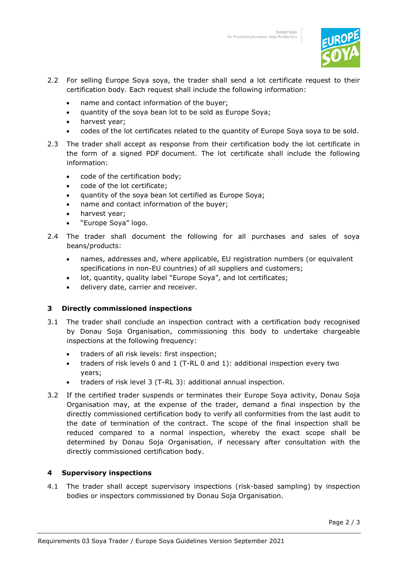

- 2.2 For selling Europe Soya soya, the trader shall send a lot certificate request to their certification body. Each request shall include the following information:
	- name and contact information of the buyer;
	- quantity of the soya bean lot to be sold as Europe Soya;
	- harvest year;
	- codes of the lot certificates related to the quantity of Europe Soya soya to be sold.
- 2.3 The trader shall accept as response from their certification body the lot certificate in the form of a signed PDF document. The lot certificate shall include the following information:
	- code of the certification body;
	- code of the lot certificate;
	- quantity of the soya bean lot certified as Europe Soya;
	- name and contact information of the buyer;
	- harvest year;
	- "Europe Soya" logo.
- 2.4 The trader shall document the following for all purchases and sales of soya beans/products:
	- names, addresses and, where applicable, EU registration numbers (or equivalent specifications in non-EU countries) of all suppliers and customers;
	- lot, quantity, quality label "Europe Soya", and lot certificates;
	- delivery date, carrier and receiver.

#### **3 Directly commissioned inspections**

- 3.1 The trader shall conclude an inspection contract with a certification body recognised by Donau Soja Organisation, commissioning this body to undertake chargeable inspections at the following frequency:
	- traders of all risk levels: first inspection;
	- traders of risk levels 0 and 1 (T-RL 0 and 1): additional inspection every two years;
	- traders of risk level 3 (T-RL 3): additional annual inspection.
- 3.2 If the certified trader suspends or terminates their Europe Soya activity, Donau Soja Organisation may, at the expense of the trader, demand a final inspection by the directly commissioned certification body to verify all conformities from the last audit to the date of termination of the contract. The scope of the final inspection shall be reduced compared to a normal inspection, whereby the exact scope shall be determined by Donau Soja Organisation, if necessary after consultation with the directly commissioned certification body.

#### **4 Supervisory inspections**

4.1 The trader shall accept supervisory inspections (risk-based sampling) by inspection bodies or inspectors commissioned by Donau Soja Organisation.